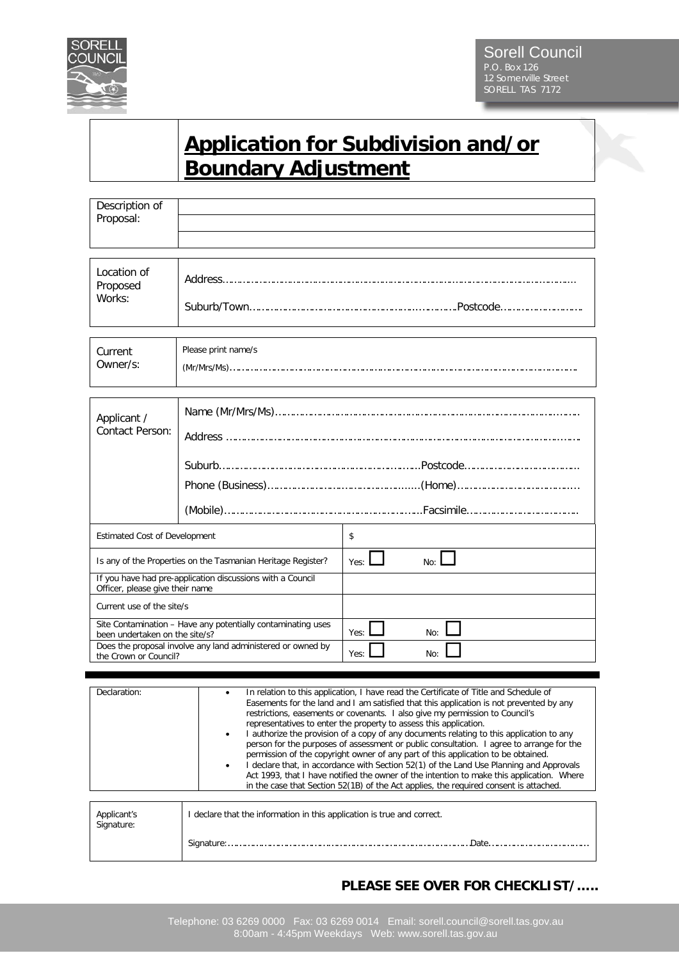

## **Application for Subdivision and/or Boundary Adjustment**

| Description of<br>Proposal:                                                                                                                                                            |                     |                                                                                                                                                                                                                                                                                                                                 |
|----------------------------------------------------------------------------------------------------------------------------------------------------------------------------------------|---------------------|---------------------------------------------------------------------------------------------------------------------------------------------------------------------------------------------------------------------------------------------------------------------------------------------------------------------------------|
| Location of<br>Proposed<br>Works:                                                                                                                                                      |                     |                                                                                                                                                                                                                                                                                                                                 |
| Current<br>Owner/s:                                                                                                                                                                    | Please print name/s |                                                                                                                                                                                                                                                                                                                                 |
| Applicant /<br>Contact Person:                                                                                                                                                         |                     | $\pmb{(Mobile)}{}{}{}{}{}{}{}{}{}{}{}{}{}{} \label{thm:main} \pmb{Facsimile} {}{}{}{}{}{}{}{}{}{}$                                                                                                                                                                                                                              |
| <b>Estimated Cost of Development</b>                                                                                                                                                   |                     | \$                                                                                                                                                                                                                                                                                                                              |
| Is any of the Properties on the Tasmanian Heritage Register?<br>If you have had pre-application discussions with a Council<br>Officer, please give their name                          |                     | Yes:<br>No: I                                                                                                                                                                                                                                                                                                                   |
| Current use of the site/s                                                                                                                                                              |                     |                                                                                                                                                                                                                                                                                                                                 |
| Site Contamination - Have any potentially contaminating uses<br>been undertaken on the site/s?<br>Does the proposal involve any land administered or owned by<br>the Crown or Council? |                     | Yes:<br>No:<br>Yes:<br>No:                                                                                                                                                                                                                                                                                                      |
| Declaration:                                                                                                                                                                           | $\bullet$           | In relation to this application, I have read the Certificate of Title and Schedule of<br>Easements for the land and I am satisfied that this application is not prevented by any<br>restrictions, easements or covenants. I also give my permission to Council's<br>contativos to ontor the negacity to access this opplication |

|                           | restrictions, easements or covenants. I also give my permission to Council's<br>representatives to enter the property to assess this application.<br>I authorize the provision of a copy of any documents relating to this application to any<br>٠<br>person for the purposes of assessment or public consultation. I agree to arrange for the<br>permission of the copyright owner of any part of this application to be obtained.<br>I declare that, in accordance with Section 52(1) of the Land Use Planning and Approvals<br>Act 1993, that I have notified the owner of the intention to make this application. Where<br>in the case that Section 52(1B) of the Act applies, the required consent is attached. |
|---------------------------|----------------------------------------------------------------------------------------------------------------------------------------------------------------------------------------------------------------------------------------------------------------------------------------------------------------------------------------------------------------------------------------------------------------------------------------------------------------------------------------------------------------------------------------------------------------------------------------------------------------------------------------------------------------------------------------------------------------------|
| Applicant's<br>Signature: | I declare that the information in this application is true and correct.                                                                                                                                                                                                                                                                                                                                                                                                                                                                                                                                                                                                                                              |
|                           | Signature:<br>.Date.                                                                                                                                                                                                                                                                                                                                                                                                                                                                                                                                                                                                                                                                                                 |

## **PLEASE SEE OVER FOR CHECKLIST/…..**